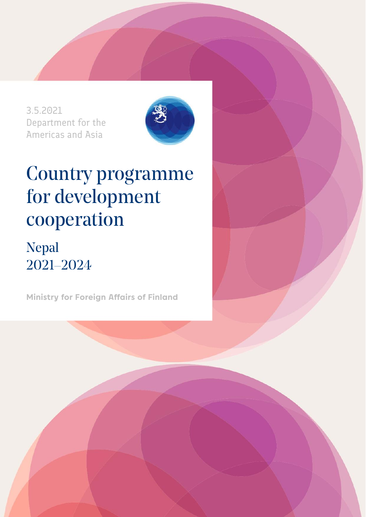3.5.2021 Department for the Americas and Asia



# Country programme for development cooperation

## Nepal 2021–2024

**Ministry for Foreign Affairs of Finland**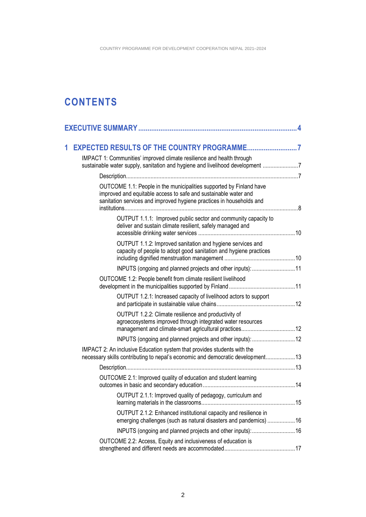### **CONTENTS**

| 1 |                                                                                                                                                                                                                |
|---|----------------------------------------------------------------------------------------------------------------------------------------------------------------------------------------------------------------|
|   | IMPACT 1: Communities' improved climate resilience and health through<br>sustainable water supply, sanitation and hygiene and livelihood development 7                                                         |
|   |                                                                                                                                                                                                                |
|   | OUTCOME 1.1: People in the municipalities supported by Finland have<br>improved and equitable access to safe and sustainable water and<br>sanitation services and improved hygiene practices in households and |
|   | OUTPUT 1.1.1: Improved public sector and community capacity to<br>deliver and sustain climate resilient, safely managed and                                                                                    |
|   | OUTPUT 1.1.2: Improved sanitation and hygiene services and<br>capacity of people to adopt good sanitation and hygiene practices                                                                                |
|   | INPUTS (ongoing and planned projects and other inputs): 11                                                                                                                                                     |
|   | OUTCOME 1.2: People benefit from climate resilient livelihood                                                                                                                                                  |
|   | OUTPUT 1.2.1: Increased capacity of livelihood actors to support                                                                                                                                               |
|   | OUTPUT 1.2.2: Climate resilience and productivity of<br>agroecosystems improved through integrated water resources                                                                                             |
|   |                                                                                                                                                                                                                |
|   | IMPACT 2: An inclusive Education system that provides students with the<br>necessary skills contributing to nepal's economic and democratic development13                                                      |
|   |                                                                                                                                                                                                                |
|   | OUTCOME 2.1: Improved quality of education and student learning                                                                                                                                                |
|   | OUTPUT 2.1.1: Improved quality of pedagogy, curriculum and                                                                                                                                                     |
|   | OUTPUT 2.1.2: Enhanced institutional capacity and resilience in<br>emerging challenges (such as natural disasters and pandemics) 16                                                                            |
|   |                                                                                                                                                                                                                |
|   | OUTCOME 2.2: Access, Equity and inclusiveness of education is                                                                                                                                                  |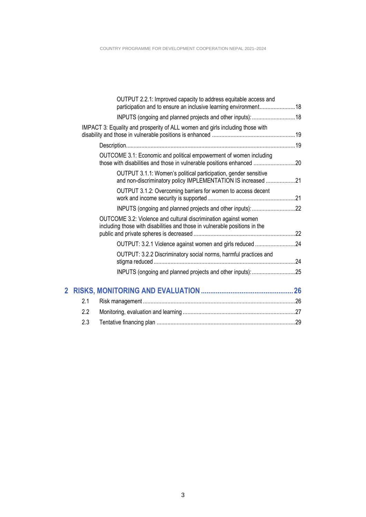|              | OUTPUT 2.2.1: Improved capacity to address equitable access and<br>participation and to ensure an inclusive learning environment 18           |  |
|--------------|-----------------------------------------------------------------------------------------------------------------------------------------------|--|
|              | INPUTS (ongoing and planned projects and other inputs):  18                                                                                   |  |
|              | IMPACT 3: Equality and prosperity of ALL women and girls including those with                                                                 |  |
|              |                                                                                                                                               |  |
|              | OUTCOME 3.1: Economic and political empowerment of women including<br>those with disabilities and those in vulnerable positions enhanced 20   |  |
|              | OUTPUT 3.1.1: Women's political participation, gender sensitive<br>and non-discriminatory policy IMPLEMENTATION IS increased 21               |  |
|              | OUTPUT 3.1.2: Overcoming barriers for women to access decent                                                                                  |  |
|              | INPUTS (ongoing and planned projects and other inputs): 22                                                                                    |  |
|              | OUTCOME 3.2: Violence and cultural discrimination against women<br>including those with disabilities and those in vulnerable positions in the |  |
|              | OUTPUT: 3.2.1 Violence against women and girls reduced 24                                                                                     |  |
|              | OUTPUT: 3.2.2 Discriminatory social norms, harmful practices and                                                                              |  |
|              |                                                                                                                                               |  |
| $\mathbf{2}$ |                                                                                                                                               |  |
|              | 2.1                                                                                                                                           |  |
|              | 2.2                                                                                                                                           |  |

| --- | $\sim$ . The mean space of the local map communication construction construction construction $\blacksquare$ |  |
|-----|--------------------------------------------------------------------------------------------------------------|--|
|     |                                                                                                              |  |
|     |                                                                                                              |  |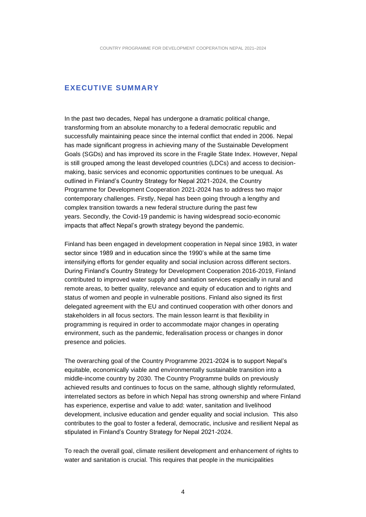#### <span id="page-3-0"></span>**EXECUTIVE SUMMARY**

In the past two decades, Nepal has undergone a dramatic political change, transforming from an absolute monarchy to a federal democratic republic and successfully maintaining peace since the internal conflict that ended in 2006. Nepal has made significant progress in achieving many of the Sustainable Development Goals (SGDs) and has improved its score in the Fragile State Index. However, Nepal is still grouped among the least developed countries (LDCs) and access to decisionmaking, basic services and economic opportunities continues to be unequal. As outlined in Finland's Country Strategy for Nepal 2021-2024, the Country Programme for Development Cooperation 2021-2024 has to address two major contemporary challenges. Firstly, Nepal has been going through a lengthy and complex transition towards a new federal structure during the past few years. Secondly, the Covid-19 pandemic is having widespread socio-economic impacts that affect Nepal's growth strategy beyond the pandemic.

Finland has been engaged in development cooperation in Nepal since 1983, in water sector since 1989 and in education since the 1990's while at the same time intensifying efforts for gender equality and social inclusion across different sectors. During Finland's Country Strategy for Development Cooperation 2016-2019, Finland contributed to improved water supply and sanitation services especially in rural and remote areas, to better quality, relevance and equity of education and to rights and status of women and people in vulnerable positions. Finland also signed its first delegated agreement with the EU and continued cooperation with other donors and stakeholders in all focus sectors. The main lesson learnt is that flexibility in programming is required in order to accommodate major changes in operating environment, such as the pandemic, federalisation process or changes in donor presence and policies.

The overarching goal of the Country Programme 2021-2024 is to support Nepal's equitable, economically viable and environmentally sustainable transition into a middle-income country by 2030. The Country Programme builds on previously achieved results and continues to focus on the same, although slightly reformulated, interrelated sectors as before in which Nepal has strong ownership and where Finland has experience, expertise and value to add: water, sanitation and livelihood development, inclusive education and gender equality and social inclusion. This also contributes to the goal to foster a federal, democratic, inclusive and resilient Nepal as stipulated in Finland's Country Strategy for Nepal 2021-2024.

To reach the overall goal, climate resilient development and enhancement of rights to water and sanitation is crucial. This requires that people in the municipalities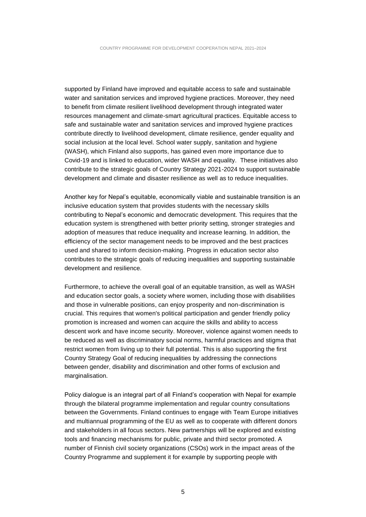supported by Finland have improved and equitable access to safe and sustainable water and sanitation services and improved hygiene practices. Moreover, they need to benefit from climate resilient livelihood development through integrated water resources management and climate-smart agricultural practices. Equitable access to safe and sustainable water and sanitation services and improved hygiene practices contribute directly to livelihood development, climate resilience, gender equality and social inclusion at the local level. School water supply, sanitation and hygiene (WASH), which Finland also supports, has gained even more importance due to Covid-19 and is linked to education, wider WASH and equality. These initiatives also contribute to the strategic goals of Country Strategy 2021-2024 to support sustainable development and climate and disaster resilience as well as to reduce inequalities.

Another key for Nepal's equitable, economically viable and sustainable transition is an inclusive education system that provides students with the necessary skills contributing to Nepal's economic and democratic development. This requires that the education system is strengthened with better priority setting, stronger strategies and adoption of measures that reduce inequality and increase learning. In addition, the efficiency of the sector management needs to be improved and the best practices used and shared to inform decision-making. Progress in education sector also contributes to the strategic goals of reducing inequalities and supporting sustainable development and resilience.

Furthermore, to achieve the overall goal of an equitable transition, as well as WASH and education sector goals, a society where women, including those with disabilities and those in vulnerable positions, can enjoy prosperity and non-discrimination is crucial. This requires that women's political participation and gender friendly policy promotion is increased and women can acquire the skills and ability to access descent work and have income security. Moreover, violence against women needs to be reduced as well as discriminatory social norms, harmful practices and stigma that restrict women from living up to their full potential. This is also supporting the first Country Strategy Goal of reducing inequalities by addressing the connections between gender, disability and discrimination and other forms of exclusion and marginalisation.

Policy dialogue is an integral part of all Finland's cooperation with Nepal for example through the bilateral programme implementation and regular country consultations between the Governments. Finland continues to engage with Team Europe initiatives and multiannual programming of the EU as well as to cooperate with different donors and stakeholders in all focus sectors. New partnerships will be explored and existing tools and financing mechanisms for public, private and third sector promoted. A number of Finnish civil society organizations (CSOs) work in the impact areas of the Country Programme and supplement it for example by supporting people with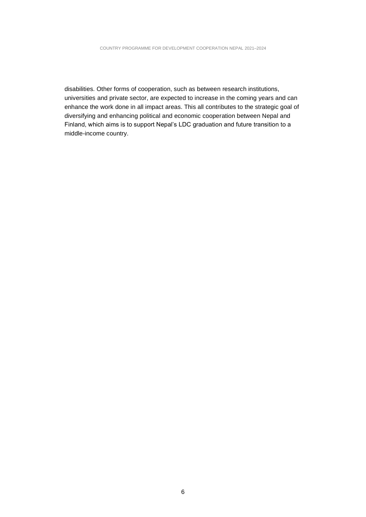disabilities. Other forms of cooperation, such as between research institutions, universities and private sector, are expected to increase in the coming years and can enhance the work done in all impact areas. This all contributes to the strategic goal of diversifying and enhancing political and economic cooperation between Nepal and Finland, which aims is to support Nepal's LDC graduation and future transition to a middle-income country.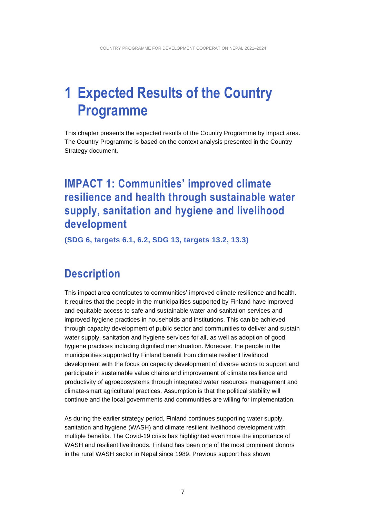## <span id="page-6-0"></span>**1 Expected Results of the Country Programme**

This chapter presents the expected results of the Country Programme by impact area. The Country Programme is based on the context analysis presented in the Country Strategy document.

### <span id="page-6-1"></span>**IMPACT 1: Communities' improved climate resilience and health through sustainable water supply, sanitation and hygiene and livelihood development**

<span id="page-6-2"></span>**(SDG 6, targets 6.1, 6.2, SDG 13, targets 13.2, 13.3)**

### **Description**

This impact area contributes to communities' improved climate resilience and health. It requires that the people in the municipalities supported by Finland have improved and equitable access to safe and sustainable water and sanitation services and improved hygiene practices in households and institutions. This can be achieved through capacity development of public sector and communities to deliver and sustain water supply, sanitation and hygiene services for all, as well as adoption of good hygiene practices including dignified menstruation. Moreover, the people in the municipalities supported by Finland benefit from climate resilient livelihood development with the focus on capacity development of diverse actors to support and participate in sustainable value chains and improvement of climate resilience and productivity of agroecosystems through integrated water resources management and climate-smart agricultural practices. Assumption is that the political stability will continue and the local governments and communities are willing for implementation.

As during the earlier strategy period, Finland continues supporting water supply, sanitation and hygiene (WASH) and climate resilient livelihood development with multiple benefits. The Covid-19 crisis has highlighted even more the importance of WASH and resilient livelihoods. Finland has been one of the most prominent donors in the rural WASH sector in Nepal since 1989. Previous support has shown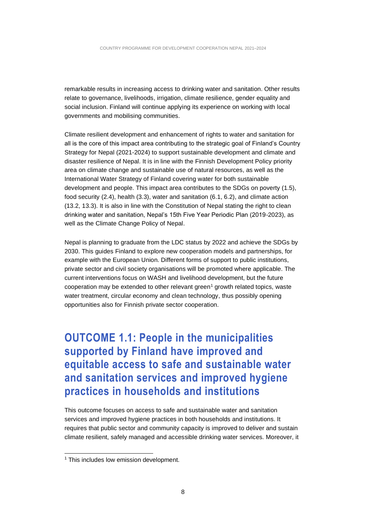remarkable results in increasing access to drinking water and sanitation. Other results relate to governance, livelihoods, irrigation, climate resilience, gender equality and social inclusion. Finland will continue applying its experience on working with local governments and mobilising communities.

Climate resilient development and enhancement of rights to water and sanitation for all is the core of this impact area contributing to the strategic goal of Finland's Country Strategy for Nepal (2021-2024) to support sustainable development and climate and disaster resilience of Nepal. It is in line with the Finnish Development Policy priority area on climate change and sustainable use of natural resources, as well as the International Water Strategy of Finland covering water for both sustainable development and people. This impact area contributes to the SDGs on poverty (1.5), food security (2.4), health (3.3), water and sanitation (6.1, 6.2), and climate action (13.2, 13.3). It is also in line with the Constitution of Nepal stating the right to clean drinking water and sanitation, Nepal's 15th Five Year Periodic Plan (2019-2023), as well as the Climate Change Policy of Nepal.

Nepal is planning to graduate from the LDC status by 2022 and achieve the SDGs by 2030. This guides Finland to explore new cooperation models and partnerships, for example with the European Union. Different forms of support to public institutions, private sector and civil society organisations will be promoted where applicable. The current interventions focus on WASH and livelihood development, but the future cooperation may be extended to other relevant green<sup>1</sup> growth related topics, waste water treatment, circular economy and clean technology, thus possibly opening opportunities also for Finnish private sector cooperation.

<span id="page-7-0"></span>**OUTCOME 1.1: People in the municipalities supported by Finland have improved and equitable access to safe and sustainable water and sanitation services and improved hygiene practices in households and institutions** 

This outcome focuses on access to safe and sustainable water and sanitation services and improved hygiene practices in both households and institutions. It requires that public sector and community capacity is improved to deliver and sustain climate resilient, safely managed and accessible drinking water services. Moreover, it

<sup>&</sup>lt;sup>1</sup> This includes low emission development.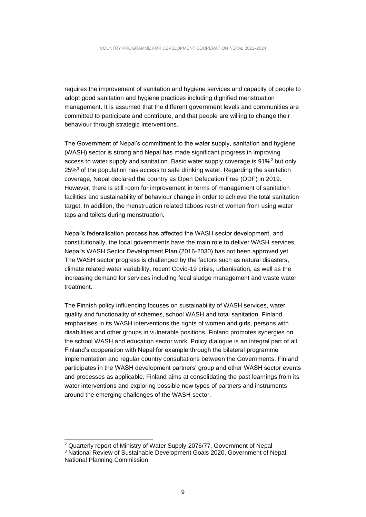requires the improvement of sanitation and hygiene services and capacity of people to adopt good sanitation and hygiene practices including dignified menstruation management. It is assumed that the different government levels and communities are committed to participate and contribute, and that people are willing to change their behaviour through strategic interventions.

The Government of Nepal's commitment to the water supply, sanitation and hygiene (WASH) sector is strong and Nepal has made significant progress in improving access to water supply and sanitation. Basic water supply coverage is  $91\%^2$  but only  $25\%$ <sup>3</sup> of the population has access to safe drinking water. Regarding the sanitation coverage, Nepal declared the country as Open Defecation Free (ODF) in 2019. However, there is still room for improvement in terms of management of sanitation facilities and sustainability of behaviour change in order to achieve the total sanitation target. In addition, the menstruation related taboos restrict women from using water taps and toilets during menstruation.

Nepal's federalisation process has affected the WASH sector development, and constitutionally, the local governments have the main role to deliver WASH services. Nepal's WASH Sector Development Plan (2016-2030) has not been approved yet. The WASH sector progress is challenged by the factors such as natural disasters, climate related water variability, recent Covid-19 crisis, urbanisation, as well as the increasing demand for services including fecal sludge management and waste water treatment.

The Finnish policy influencing focuses on sustainability of WASH services, water quality and functionality of schemes, school WASH and total sanitation. Finland emphasises in its WASH interventions the rights of women and girls, persons with disabilities and other groups in vulnerable positions. Finland promotes synergies on the school WASH and education sector work. Policy dialogue is an integral part of all Finland's cooperation with Nepal for example through the bilateral programme implementation and regular country consultations between the Governments. Finland participates in the WASH development partners' group and other WASH sector events and processes as applicable. Finland aims at consolidating the past learnings from its water interventions and exploring possible new types of partners and instruments around the emerging challenges of the WASH sector.

<sup>2</sup> Quarterly report of Ministry of Water Supply 2076/77, Government of Nepal

<sup>3</sup> National Review of Sustainable Development Goals 2020, Government of Nepal, National Planning Commission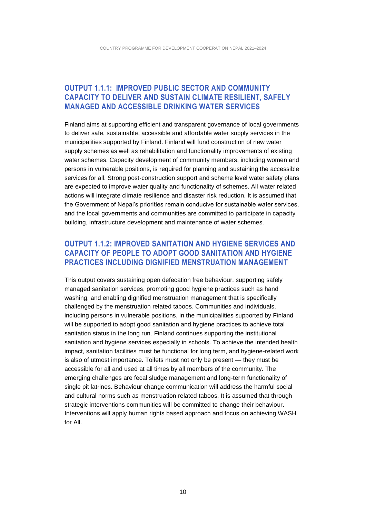### <span id="page-9-0"></span>**OUTPUT 1.1.1: IMPROVED PUBLIC SECTOR AND COMMUNITY CAPACITY TO DELIVER AND SUSTAIN CLIMATE RESILIENT, SAFELY MANAGED AND ACCESSIBLE DRINKING WATER SERVICES**

Finland aims at supporting efficient and transparent governance of local governments to deliver safe, sustainable, accessible and affordable water supply services in the municipalities supported by Finland. Finland will fund construction of new water supply schemes as well as rehabilitation and functionality improvements of existing water schemes. Capacity development of community members, including women and persons in vulnerable positions, is required for planning and sustaining the accessible services for all. Strong post-construction support and scheme level water safety plans are expected to improve water quality and functionality of schemes. All water related actions will integrate climate resilience and disaster risk reduction. It is assumed that the Government of Nepal's priorities remain conducive for sustainable water services, and the local governments and communities are committed to participate in capacity building, infrastructure development and maintenance of water schemes.

#### <span id="page-9-1"></span>**OUTPUT 1.1.2: IMPROVED SANITATION AND HYGIENE SERVICES AND CAPACITY OF PEOPLE TO ADOPT GOOD SANITATION AND HYGIENE PRACTICES INCLUDING DIGNIFIED MENSTRUATION MANAGEMENT**

This output covers sustaining open defecation free behaviour, supporting safely managed sanitation services, promoting good hygiene practices such as hand washing, and enabling dignified menstruation management that is specifically challenged by the menstruation related taboos. Communities and individuals, including persons in vulnerable positions, in the municipalities supported by Finland will be supported to adopt good sanitation and hygiene practices to achieve total sanitation status in the long run. Finland continues supporting the institutional sanitation and hygiene services especially in schools. To achieve the intended health impact, sanitation facilities must be functional for long term, and hygiene-related work is also of utmost importance. Toilets must not only be present — they must be accessible for all and used at all times by all members of the community. The emerging challenges are fecal sludge management and long-term functionality of single pit latrines. Behaviour change communication will address the harmful social and cultural norms such as menstruation related taboos. It is assumed that through strategic interventions communities will be committed to change their behaviour. Interventions will apply human rights based approach and focus on achieving WASH for All.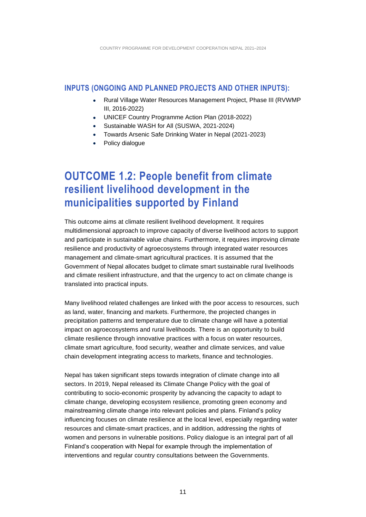#### <span id="page-10-0"></span>**INPUTS (ONGOING AND PLANNED PROJECTS AND OTHER INPUTS):**

- Rural Village Water Resources Management Project, Phase III (RVWMP III, 2016-2022)
- UNICEF Country Programme Action Plan (2018-2022)
- Sustainable WASH for All (SUSWA, 2021-2024)
- Towards Arsenic Safe Drinking Water in Nepal (2021-2023)
- Policy dialogue

### <span id="page-10-1"></span>**OUTCOME 1.2: People benefit from climate resilient livelihood development in the municipalities supported by Finland**

This outcome aims at climate resilient livelihood development. It requires multidimensional approach to improve capacity of diverse livelihood actors to support and participate in sustainable value chains. Furthermore, it requires improving climate resilience and productivity of agroecosystems through integrated water resources management and climate-smart agricultural practices. It is assumed that the Government of Nepal allocates budget to climate smart sustainable rural livelihoods and climate resilient infrastructure, and that the urgency to act on climate change is translated into practical inputs.

Many livelihood related challenges are linked with the poor access to resources, such as land, water, financing and markets. Furthermore, the projected changes in precipitation patterns and temperature due to climate change will have a potential impact on agroecosystems and rural livelihoods. There is an opportunity to build climate resilience through innovative practices with a focus on water resources, climate smart agriculture, food security, weather and climate services, and value chain development integrating access to markets, finance and technologies.

Nepal has taken significant steps towards integration of climate change into all sectors. In 2019, Nepal released its Climate Change Policy with the goal of contributing to socio-economic prosperity by advancing the capacity to adapt to climate change, developing ecosystem resilience, promoting green economy and mainstreaming climate change into relevant policies and plans. Finland's policy influencing focuses on climate resilience at the local level, especially regarding water resources and climate-smart practices, and in addition, addressing the rights of women and persons in vulnerable positions. Policy dialogue is an integral part of all Finland's cooperation with Nepal for example through the implementation of interventions and regular country consultations between the Governments.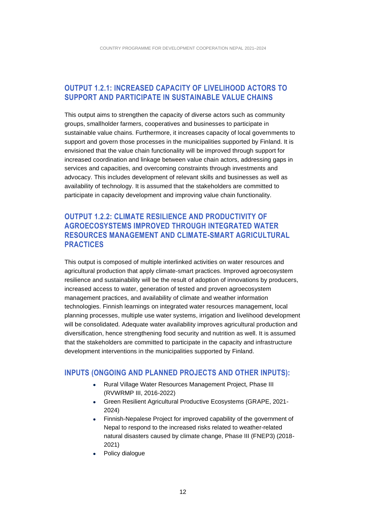### <span id="page-11-0"></span>**OUTPUT 1.2.1: INCREASED CAPACITY OF LIVELIHOOD ACTORS TO SUPPORT AND PARTICIPATE IN SUSTAINABLE VALUE CHAINS**

This output aims to strengthen the capacity of diverse actors such as community groups, smallholder farmers, cooperatives and businesses to participate in sustainable value chains. Furthermore, it increases capacity of local governments to support and govern those processes in the municipalities supported by Finland. It is envisioned that the value chain functionality will be improved through support for increased coordination and linkage between value chain actors, addressing gaps in services and capacities, and overcoming constraints through investments and advocacy. This includes development of relevant skills and businesses as well as availability of technology. It is assumed that the stakeholders are committed to participate in capacity development and improving value chain functionality.

### <span id="page-11-1"></span>**OUTPUT 1.2.2: CLIMATE RESILIENCE AND PRODUCTIVITY OF AGROECOSYSTEMS IMPROVED THROUGH INTEGRATED WATER RESOURCES MANAGEMENT AND CLIMATE-SMART AGRICULTURAL PRACTICES**

This output is composed of multiple interlinked activities on water resources and agricultural production that apply climate-smart practices. Improved agroecosystem resilience and sustainability will be the result of adoption of innovations by producers, increased access to water, generation of tested and proven agroecosystem management practices, and availability of climate and weather information technologies. Finnish learnings on integrated water resources management, local planning processes, multiple use water systems, irrigation and livelihood development will be consolidated. Adequate water availability improves agricultural production and diversification, hence strengthening food security and nutrition as well. It is assumed that the stakeholders are committed to participate in the capacity and infrastructure development interventions in the municipalities supported by Finland.

#### <span id="page-11-2"></span>**INPUTS (ONGOING AND PLANNED PROJECTS AND OTHER INPUTS):**

- Rural Village Water Resources Management Project, Phase III (RVWRMP III, 2016-2022)
- Green Resilient Agricultural Productive Ecosystems (GRAPE, 2021- 2024)
- Finnish-Nepalese Project for improved capability of the government of Nepal to respond to the increased risks related to weather-related natural disasters caused by climate change, Phase III (FNEP3) (2018- 2021)
- Policy dialogue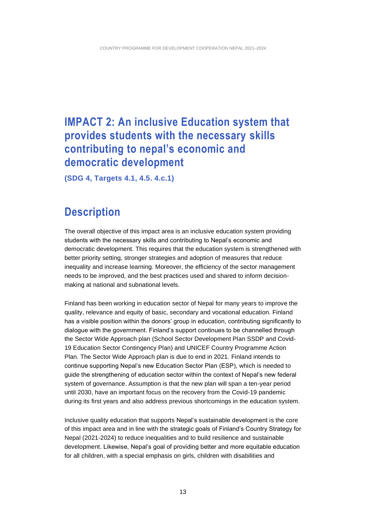### <span id="page-12-0"></span>**IMPACT 2: An inclusive Education system that provides students with the necessary skills contributing to nepal's economic and democratic development**

<span id="page-12-1"></span>**(SDG 4, Targets 4.1, 4.5. 4.c.1)**

### **Description**

The overall objective of this impact area is an inclusive education system providing students with the necessary skills and contributing to Nepal's economic and democratic development. This requires that the education system is strengthened with better priority setting, stronger strategies and adoption of measures that reduce inequality and increase learning. Moreover, the efficiency of the sector management needs to be improved, and the best practices used and shared to inform decisionmaking at national and subnational levels.

Finland has been working in education sector of Nepal for many years to improve the quality, relevance and equity of basic, secondary and vocational education. Finland has a visible position within the donors' group in education, contributing significantly to dialogue with the government. Finland's support continues to be channelled through the Sector Wide Approach plan (School Sector Development Plan SSDP and Covid-19 Education Sector Contingency Plan) and UNICEF Country Programme Action Plan. The Sector Wide Approach plan is due to end in 2021. Finland intends to continue supporting Nepal's new Education Sector Plan (ESP), which is needed to guide the strengthening of education sector within the context of Nepal's new federal system of governance. Assumption is that the new plan will span a ten-year period until 2030, have an important focus on the recovery from the Covid-19 pandemic during its first years and also address previous shortcomings in the education system.

Inclusive quality education that supports Nepal's sustainable development is the core of this impact area and in line with the strategic goals of Finland's Country Strategy for Nepal (2021-2024) to reduce inequalities and to build resilience and sustainable development. Likewise, Nepal's goal of providing better and more equitable education for all children, with a special emphasis on girls, children with disabilities and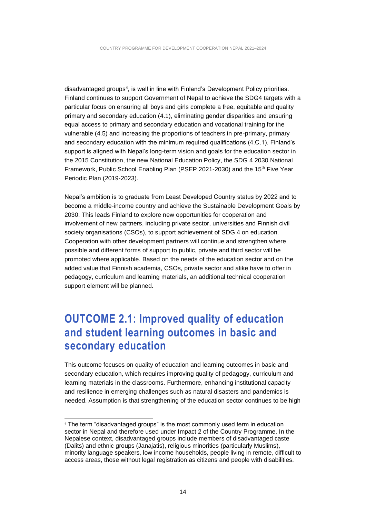disadvantaged groups<sup>4</sup>, is well in line with Finland's Development Policy priorities. Finland continues to support Government of Nepal to achieve the SDG4 targets with a particular focus on ensuring all boys and girls complete a free, equitable and quality primary and secondary education (4.1), eliminating gender disparities and ensuring equal access to primary and secondary education and vocational training for the vulnerable (4.5) and increasing the proportions of teachers in pre-primary, primary and secondary education with the minimum required qualifications (4.C.1). Finland's support is aligned with Nepal's long-term vision and goals for the education sector in the 2015 Constitution, the new National Education Policy, the SDG 4 2030 National Framework, Public School Enabling Plan (PSEP 2021-2030) and the 15<sup>th</sup> Five Year Periodic Plan (2019-2023).

Nepal's ambition is to graduate from Least Developed Country status by 2022 and to become a middle-income country and achieve the Sustainable Development Goals by 2030. This leads Finland to explore new opportunities for cooperation and involvement of new partners, including private sector, universities and Finnish civil society organisations (CSOs), to support achievement of SDG 4 on education. Cooperation with other development partners will continue and strengthen where possible and different forms of support to public, private and third sector will be promoted where applicable. Based on the needs of the education sector and on the added value that Finnish academia, CSOs, private sector and alike have to offer in pedagogy, curriculum and learning materials, an additional technical cooperation support element will be planned.

### <span id="page-13-0"></span>**OUTCOME 2.1: Improved quality of education and student learning outcomes in basic and secondary education**

This outcome focuses on quality of education and learning outcomes in basic and secondary education, which requires improving quality of pedagogy, curriculum and learning materials in the classrooms. Furthermore, enhancing institutional capacity and resilience in emerging challenges such as natural disasters and pandemics is needed. Assumption is that strengthening of the education sector continues to be high

<sup>4</sup> The term "disadvantaged groups" is the most commonly used term in education sector in Nepal and therefore used under Impact 2 of the Country Programme. In the Nepalese context, disadvantaged groups include members of disadvantaged caste (Dalits) and ethnic groups (Janajatis), religious minorities (particularly Muslims), minority language speakers, low income households, people living in remote, difficult to access areas, those without legal registration as citizens and people with disabilities.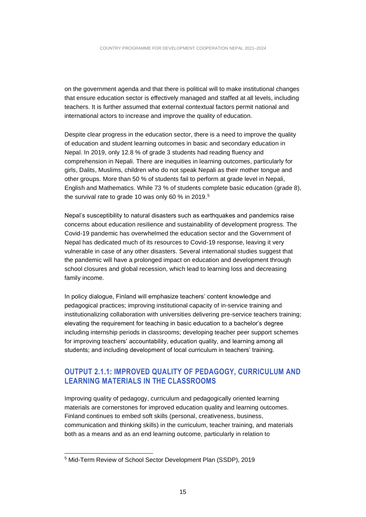on the government agenda and that there is political will to make institutional changes that ensure education sector is effectively managed and staffed at all levels, including teachers. It is further assumed that external contextual factors permit national and international actors to increase and improve the quality of education.

Despite clear progress in the education sector, there is a need to improve the quality of education and student learning outcomes in basic and secondary education in Nepal. In 2019, only 12.8 % of grade 3 students had reading fluency and comprehension in Nepali. There are inequities in learning outcomes, particularly for girls, Dalits, Muslims, children who do not speak Nepali as their mother tongue and other groups. More than 50 % of students fail to perform at grade level in Nepali, English and Mathematics. While 73 % of students complete basic education (grade 8), the survival rate to grade 10 was only 60 % in 2019.<sup>5</sup>

Nepal's susceptibility to natural disasters such as earthquakes and pandemics raise concerns about education resilience and sustainability of development progress. The Covid-19 pandemic has overwhelmed the education sector and the Government of Nepal has dedicated much of its resources to Covid-19 response, leaving it very vulnerable in case of any other disasters. Several international studies suggest that the pandemic will have a prolonged impact on education and development through school closures and global recession, which lead to learning loss and decreasing family income.

In policy dialogue, Finland will emphasize teachers' content knowledge and pedagogical practices; improving institutional capacity of in-service training and institutionalizing collaboration with universities delivering pre-service teachers training; elevating the requirement for teaching in basic education to a bachelor's degree including internship periods in classrooms; developing teacher peer support schemes for improving teachers' accountability, education quality, and learning among all students; and including development of local curriculum in teachers' training.

### <span id="page-14-0"></span>**OUTPUT 2.1.1: IMPROVED QUALITY OF PEDAGOGY, CURRICULUM AND LEARNING MATERIALS IN THE CLASSROOMS**

Improving quality of pedagogy, curriculum and pedagogically oriented learning materials are cornerstones for improved education quality and learning outcomes. Finland continues to embed soft skills (personal, creativeness, business, communication and thinking skills) in the curriculum, teacher training, and materials both as a means and as an end learning outcome, particularly in relation to

<sup>5</sup> Mid-Term Review of School Sector Development Plan (SSDP), 2019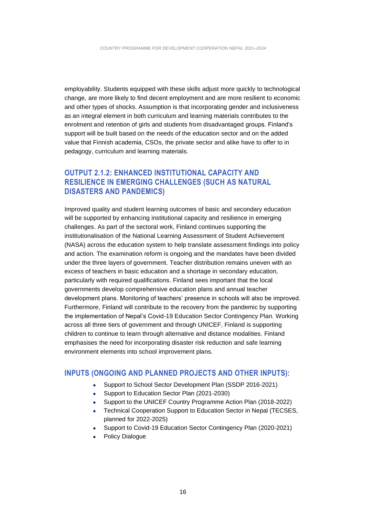employability. Students equipped with these skills adjust more quickly to technological change, are more likely to find decent employment and are more resilient to economic and other types of shocks. Assumption is that incorporating gender and inclusiveness as an integral element in both curriculum and learning materials contributes to the enrolment and retention of girls and students from disadvantaged groups. Finland's support will be built based on the needs of the education sector and on the added value that Finnish academia, CSOs, the private sector and alike have to offer to in pedagogy, curriculum and learning materials.

### <span id="page-15-0"></span>**OUTPUT 2.1.2: ENHANCED INSTITUTIONAL CAPACITY AND RESILIENCE IN EMERGING CHALLENGES (SUCH AS NATURAL DISASTERS AND PANDEMICS)**

Improved quality and student learning outcomes of basic and secondary education will be supported by enhancing institutional capacity and resilience in emerging challenges. As part of the sectoral work, Finland continues supporting the institutionalisation of the National Learning Assessment of Student Achievement (NASA) across the education system to help translate assessment findings into policy and action. The examination reform is ongoing and the mandates have been divided under the three layers of government. Teacher distribution remains uneven with an excess of teachers in basic education and a shortage in secondary education, particularly with required qualifications. Finland sees important that the local governments develop comprehensive education plans and annual teacher development plans. Monitoring of teachers' presence in schools will also be improved. Furthermore, Finland will contribute to the recovery from the pandemic by supporting the implementation of Nepal's Covid-19 Education Sector Contingency Plan. Working across all three tiers of government and through UNICEF, Finland is supporting children to continue to learn through alternative and distance modalities. Finland emphasises the need for incorporating disaster risk reduction and safe learning environment elements into school improvement plans.

#### <span id="page-15-1"></span>**INPUTS (ONGOING AND PLANNED PROJECTS AND OTHER INPUTS):**

- Support to School Sector Development Plan (SSDP 2016-2021)
- Support to Education Sector Plan (2021-2030)
- Support to the UNICEF Country Programme Action Plan (2018-2022)
- Technical Cooperation Support to Education Sector in Nepal (TECSES, planned for 2022-2025)
- Support to Covid-19 Education Sector Contingency Plan (2020-2021)
- Policy Dialogue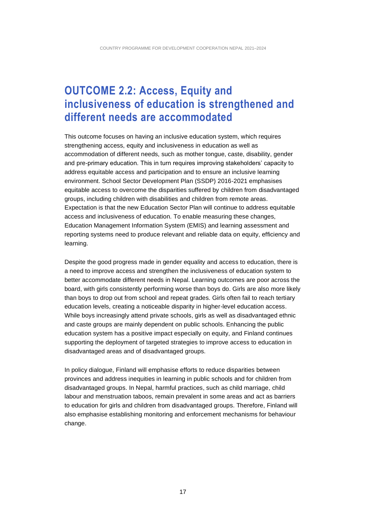### <span id="page-16-0"></span>**OUTCOME 2.2: Access, Equity and inclusiveness of education is strengthened and different needs are accommodated**

This outcome focuses on having an inclusive education system, which requires strengthening access, equity and inclusiveness in education as well as accommodation of different needs, such as mother tongue, caste, disability, gender and pre-primary education. This in turn requires improving stakeholders' capacity to address equitable access and participation and to ensure an inclusive learning environment. School Sector Development Plan (SSDP) 2016-2021 emphasises equitable access to overcome the disparities suffered by children from disadvantaged groups, including children with disabilities and children from remote areas. Expectation is that the new Education Sector Plan will continue to address equitable access and inclusiveness of education. To enable measuring these changes, Education Management Information System (EMIS) and learning assessment and reporting systems need to produce relevant and reliable data on equity, efficiency and learning.

Despite the good progress made in gender equality and access to education, there is a need to improve access and strengthen the inclusiveness of education system to better accommodate different needs in Nepal. Learning outcomes are poor across the board, with girls consistently performing worse than boys do. Girls are also more likely than boys to drop out from school and repeat grades. Girls often fail to reach tertiary education levels, creating a noticeable disparity in higher-level education access. While boys increasingly attend private schools, girls as well as disadvantaged ethnic and caste groups are mainly dependent on public schools. Enhancing the public education system has a positive impact especially on equity, and Finland continues supporting the deployment of targeted strategies to improve access to education in disadvantaged areas and of disadvantaged groups.

In policy dialogue, Finland will emphasise efforts to reduce disparities between provinces and address inequities in learning in public schools and for children from disadvantaged groups. In Nepal, harmful practices, such as child marriage, child labour and menstruation taboos, remain prevalent in some areas and act as barriers to education for girls and children from disadvantaged groups. Therefore, Finland will also emphasise establishing monitoring and enforcement mechanisms for behaviour change.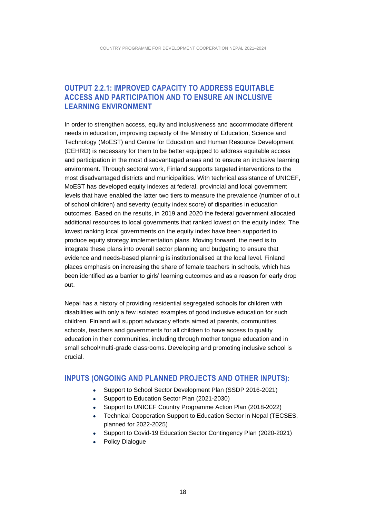### <span id="page-17-0"></span>**OUTPUT 2.2.1: IMPROVED CAPACITY TO ADDRESS EQUITABLE ACCESS AND PARTICIPATION AND TO ENSURE AN INCLUSIVE LEARNING ENVIRONMENT**

In order to strengthen access, equity and inclusiveness and accommodate different needs in education, improving capacity of the Ministry of Education, Science and Technology (MoEST) and Centre for Education and Human Resource Development (CEHRD) is necessary for them to be better equipped to address equitable access and participation in the most disadvantaged areas and to ensure an inclusive learning environment. Through sectoral work, Finland supports targeted interventions to the most disadvantaged districts and municipalities. With technical assistance of UNICEF, MoEST has developed equity indexes at federal, provincial and local government levels that have enabled the latter two tiers to measure the prevalence (number of out of school children) and severity (equity index score) of disparities in education outcomes. Based on the results, in 2019 and 2020 the federal government allocated additional resources to local governments that ranked lowest on the equity index. The lowest ranking local governments on the equity index have been supported to produce equity strategy implementation plans. Moving forward, the need is to integrate these plans into overall sector planning and budgeting to ensure that evidence and needs-based planning is institutionalised at the local level. Finland places emphasis on increasing the share of female teachers in schools, which has been identified as a barrier to girls' learning outcomes and as a reason for early drop out.

Nepal has a history of providing residential segregated schools for children with disabilities with only a few isolated examples of good inclusive education for such children. Finland will support advocacy efforts aimed at parents, communities, schools, teachers and governments for all children to have access to quality education in their communities, including through mother tongue education and in small school/multi-grade classrooms. Developing and promoting inclusive school is crucial.

#### <span id="page-17-1"></span>**INPUTS (ONGOING AND PLANNED PROJECTS AND OTHER INPUTS):**

- Support to School Sector Development Plan (SSDP 2016-2021)
- Support to Education Sector Plan (2021-2030)
- Support to UNICEF Country Programme Action Plan (2018-2022)
- Technical Cooperation Support to Education Sector in Nepal (TECSES, planned for 2022-2025)
- Support to Covid-19 Education Sector Contingency Plan (2020-2021)
- Policy Dialogue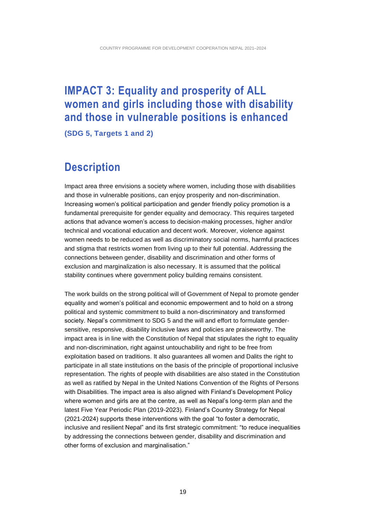### <span id="page-18-0"></span>**IMPACT 3: Equality and prosperity of ALL women and girls including those with disability and those in vulnerable positions is enhanced**

<span id="page-18-1"></span>**(SDG 5, Targets 1 and 2)**

### **Description**

Impact area three envisions a society where women, including those with disabilities and those in vulnerable positions, can enjoy prosperity and non-discrimination. Increasing women's political participation and gender friendly policy promotion is a fundamental prerequisite for gender equality and democracy. This requires targeted actions that advance women's access to decision-making processes, higher and/or technical and vocational education and decent work. Moreover, violence against women needs to be reduced as well as discriminatory social norms, harmful practices and stigma that restricts women from living up to their full potential. Addressing the connections between gender, disability and discrimination and other forms of exclusion and marginalization is also necessary. It is assumed that the political stability continues where government policy building remains consistent.

The work builds on the strong political will of Government of Nepal to promote gender equality and women's political and economic empowerment and to hold on a strong political and systemic commitment to build a non-discriminatory and transformed society. Nepal's commitment to SDG 5 and the will and effort to formulate gendersensitive, responsive, disability inclusive laws and policies are praiseworthy. The impact area is in line with the Constitution of Nepal that stipulates the right to equality and non-discrimination, right against untouchability and right to be free from exploitation based on traditions. It also guarantees all women and Dalits the right to participate in all state institutions on the basis of the principle of proportional inclusive representation. The rights of people with disabilities are also stated in the Constitution as well as ratified by Nepal in the United Nations Convention of the Rights of Persons with Disabilities. The impact area is also aligned with Finland's Development Policy where women and girls are at the centre, as well as Nepal's long-term plan and the latest Five Year Periodic Plan (2019-2023). Finland's Country Strategy for Nepal (2021-2024) supports these interventions with the goal "to foster a democratic, inclusive and resilient Nepal" and its first strategic commitment: "to reduce inequalities by addressing the connections between gender, disability and discrimination and other forms of exclusion and marginalisation."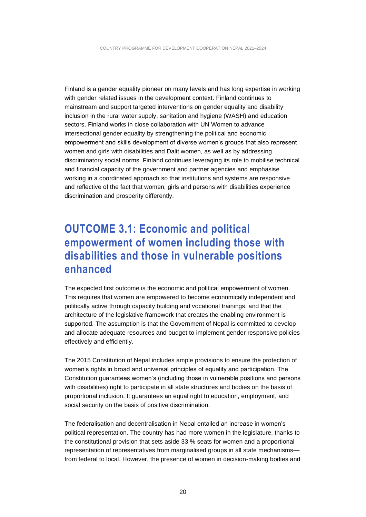Finland is a gender equality pioneer on many levels and has long expertise in working with gender related issues in the development context. Finland continues to mainstream and support targeted interventions on gender equality and disability inclusion in the rural water supply, sanitation and hygiene (WASH) and education sectors. Finland works in close collaboration with UN Women to advance intersectional gender equality by strengthening the political and economic empowerment and skills development of diverse women's groups that also represent women and girls with disabilities and Dalit women, as well as by addressing discriminatory social norms. Finland continues leveraging its role to mobilise technical and financial capacity of the government and partner agencies and emphasise working in a coordinated approach so that institutions and systems are responsive and reflective of the fact that women, girls and persons with disabilities experience discrimination and prosperity differently.

### <span id="page-19-0"></span>**OUTCOME 3.1: Economic and political empowerment of women including those with disabilities and those in vulnerable positions enhanced**

The expected first outcome is the economic and political empowerment of women. This requires that women are empowered to become economically independent and politically active through capacity building and vocational trainings, and that the architecture of the legislative framework that creates the enabling environment is supported. The assumption is that the Government of Nepal is committed to develop and allocate adequate resources and budget to implement gender responsive policies effectively and efficiently.

The 2015 Constitution of Nepal includes ample provisions to ensure the protection of women's rights in broad and universal principles of equality and participation. The Constitution guarantees women's (including those in vulnerable positions and persons with disabilities) right to participate in all state structures and bodies on the basis of proportional inclusion. It guarantees an equal right to education, employment, and social security on the basis of positive discrimination.

The federalisation and decentralisation in Nepal entailed an increase in women's political representation. The country has had more women in the legislature, thanks to the constitutional provision that sets aside 33 % seats for women and a proportional representation of representatives from marginalised groups in all state mechanisms from federal to local. However, the presence of women in decision-making bodies and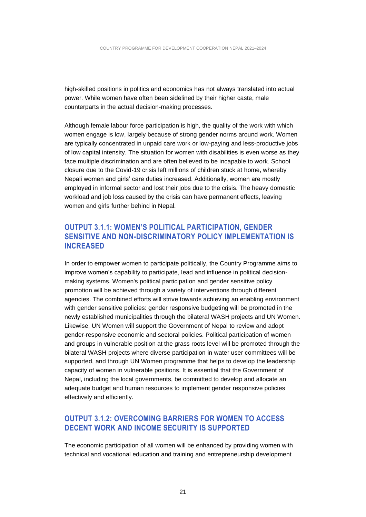high-skilled positions in politics and economics has not always translated into actual power. While women have often been sidelined by their higher caste, male counterparts in the actual decision-making processes.

Although female labour force participation is high, the quality of the work with which women engage is low, largely because of strong gender norms around work. Women are typically concentrated in unpaid care work or low-paying and less-productive jobs of low capital intensity. The situation for women with disabilities is even worse as they face multiple discrimination and are often believed to be incapable to work. School closure due to the Covid-19 crisis left millions of children stuck at home, whereby Nepali women and girls' care duties increased. Additionally, women are mostly employed in informal sector and lost their jobs due to the crisis. The heavy domestic workload and job loss caused by the crisis can have permanent effects, leaving women and girls further behind in Nepal.

#### <span id="page-20-0"></span>**OUTPUT 3.1.1: WOMEN'S POLITICAL PARTICIPATION, GENDER SENSITIVE AND NON-DISCRIMINATORY POLICY IMPLEMENTATION IS INCREASED**

In order to empower women to participate politically, the Country Programme aims to improve women's capability to participate, lead and influence in political decisionmaking systems. Women's political participation and gender sensitive policy promotion will be achieved through a variety of interventions through different agencies. The combined efforts will strive towards achieving an enabling environment with gender sensitive policies: gender responsive budgeting will be promoted in the newly established municipalities through the bilateral WASH projects and UN Women. Likewise, UN Women will support the Government of Nepal to review and adopt gender-responsive economic and sectoral policies. Political participation of women and groups in vulnerable position at the grass roots level will be promoted through the bilateral WASH projects where diverse participation in water user committees will be supported, and through UN Women programme that helps to develop the leadership capacity of women in vulnerable positions. It is essential that the Government of Nepal, including the local governments, be committed to develop and allocate an adequate budget and human resources to implement gender responsive policies effectively and efficiently.

### <span id="page-20-1"></span>**OUTPUT 3.1.2: OVERCOMING BARRIERS FOR WOMEN TO ACCESS DECENT WORK AND INCOME SECURITY IS SUPPORTED**

The economic participation of all women will be enhanced by providing women with technical and vocational education and training and entrepreneurship development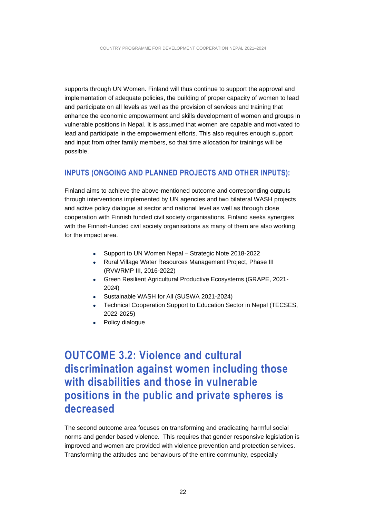supports through UN Women. Finland will thus continue to support the approval and implementation of adequate policies, the building of proper capacity of women to lead and participate on all levels as well as the provision of services and training that enhance the economic empowerment and skills development of women and groups in vulnerable positions in Nepal. It is assumed that women are capable and motivated to lead and participate in the empowerment efforts. This also requires enough support and input from other family members, so that time allocation for trainings will be possible.

#### <span id="page-21-0"></span>**INPUTS (ONGOING AND PLANNED PROJECTS AND OTHER INPUTS):**

Finland aims to achieve the above-mentioned outcome and corresponding outputs through interventions implemented by UN agencies and two bilateral WASH projects and active policy dialogue at sector and national level as well as through close cooperation with Finnish funded civil society organisations. Finland seeks synergies with the Finnish-funded civil society organisations as many of them are also working for the impact area.

- Support to UN Women Nepal Strategic Note 2018-2022
- Rural Village Water Resources Management Project, Phase III (RVWRMP III, 2016-2022)
- Green Resilient Agricultural Productive Ecosystems (GRAPE, 2021- 2024)
- Sustainable WASH for All (SUSWA 2021-2024)
- Technical Cooperation Support to Education Sector in Nepal (TECSES, 2022-2025)
- Policy dialogue

<span id="page-21-1"></span>**OUTCOME 3.2: Violence and cultural discrimination against women including those with disabilities and those in vulnerable positions in the public and private spheres is decreased**

The second outcome area focuses on transforming and eradicating harmful social norms and gender based violence. This requires that gender responsive legislation is improved and women are provided with violence prevention and protection services. Transforming the attitudes and behaviours of the entire community, especially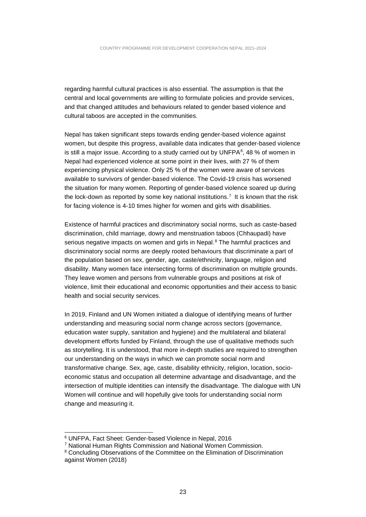regarding harmful cultural practices is also essential. The assumption is that the central and local governments are willing to formulate policies and provide services, and that changed attitudes and behaviours related to gender based violence and cultural taboos are accepted in the communities.

Nepal has taken significant steps towards ending gender-based violence against women, but despite this progress, available data indicates that gender-based violence is still a major issue. According to a study carried out by UNFPA $6$ , 48 % of women in Nepal had experienced violence at some point in their lives, with 27 % of them experiencing physical violence. Only 25 % of the women were aware of services available to survivors of gender-based violence. The Covid-19 crisis has worsened the situation for many women. Reporting of gender-based violence soared up during the lock-down as reported by some key national institutions.<sup>7</sup> It is known that the risk for facing violence is 4-10 times higher for women and girls with disabilities.

Existence of harmful practices and discriminatory social norms, such as caste-based discrimination, child marriage, dowry and menstruation taboos (Chhaupadi) have serious negative impacts on women and girls in Nepal.<sup>8</sup> The harmful practices and discriminatory social norms are deeply rooted behaviours that discriminate a part of the population based on sex, gender, age, caste/ethnicity, language, religion and disability. Many women face intersecting forms of discrimination on multiple grounds. They leave women and persons from vulnerable groups and positions at risk of violence, limit their educational and economic opportunities and their access to basic health and social security services.

In 2019, Finland and UN Women initiated a dialogue of identifying means of further understanding and measuring social norm change across sectors (governance, education water supply, sanitation and hygiene) and the multilateral and bilateral development efforts funded by Finland, through the use of qualitative methods such as storytelling. It is understood, that more in-depth studies are required to strengthen our understanding on the ways in which we can promote social norm and transformative change. Sex, age, caste, disability ethnicity, religion, location, socioeconomic status and occupation all determine advantage and disadvantage, and the intersection of multiple identities can intensify the disadvantage. The dialogue with UN Women will continue and will hopefully give tools for understanding social norm change and measuring it.

<sup>6</sup> UNFPA, Fact Sheet: Gender-based Violence in Nepal, 2016

<sup>7</sup> National Human Rights Commission and National Women Commission.

<sup>&</sup>lt;sup>8</sup> Concluding Observations of the Committee on the Elimination of Discrimination against Women (2018)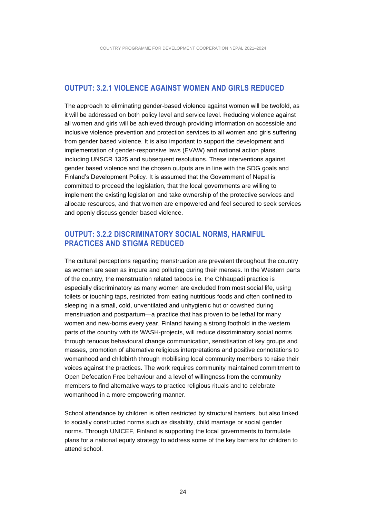#### <span id="page-23-0"></span>**OUTPUT: 3.2.1 VIOLENCE AGAINST WOMEN AND GIRLS REDUCED**

The approach to eliminating gender-based violence against women will be twofold, as it will be addressed on both policy level and service level. Reducing violence against all women and girls will be achieved through providing information on accessible and inclusive violence prevention and protection services to all women and girls suffering from gender based violence. It is also important to support the development and implementation of gender-responsive laws (EVAW) and national action plans, including UNSCR 1325 and subsequent resolutions. These interventions against gender based violence and the chosen outputs are in line with the SDG goals and Finland's Development Policy. It is assumed that the Government of Nepal is committed to proceed the legislation, that the local governments are willing to implement the existing legislation and take ownership of the protective services and allocate resources, and that women are empowered and feel secured to seek services and openly discuss gender based violence.

#### <span id="page-23-1"></span>**OUTPUT: 3.2.2 DISCRIMINATORY SOCIAL NORMS, HARMFUL PRACTICES AND STIGMA REDUCED**

The cultural perceptions regarding menstruation are prevalent throughout the country as women are seen as impure and polluting during their menses. In the Western parts of the country, the menstruation related taboos i.e. the Chhaupadi practice is especially discriminatory as many women are excluded from most social life, using toilets or touching taps, restricted from eating nutritious foods and often confined to sleeping in a small, cold, unventilated and unhygienic hut or cowshed during menstruation and postpartum—a practice that has proven to be lethal for many women and new-borns every year. Finland having a strong foothold in the western parts of the country with its WASH-projects, will reduce discriminatory social norms through tenuous behavioural change communication, sensitisation of key groups and masses, promotion of alternative religious interpretations and positive connotations to womanhood and childbirth through mobilising local community members to raise their voices against the practices. The work requires community maintained commitment to Open Defecation Free behaviour and a level of willingness from the community members to find alternative ways to practice religious rituals and to celebrate womanhood in a more empowering manner.

School attendance by children is often restricted by structural barriers, but also linked to socially constructed norms such as disability, child marriage or social gender norms. Through UNICEF, Finland is supporting the local governments to formulate plans for a national equity strategy to address some of the key barriers for children to attend school.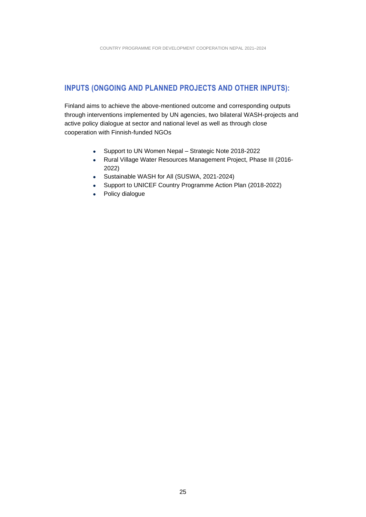### <span id="page-24-0"></span>**INPUTS (ONGOING AND PLANNED PROJECTS AND OTHER INPUTS):**

Finland aims to achieve the above-mentioned outcome and corresponding outputs through interventions implemented by UN agencies, two bilateral WASH-projects and active policy dialogue at sector and national level as well as through close cooperation with Finnish-funded NGOs

- Support to UN Women Nepal Strategic Note 2018-2022
- Rural Village Water Resources Management Project, Phase III (2016- 2022)
- Sustainable WASH for All (SUSWA, 2021-2024)
- Support to UNICEF Country Programme Action Plan (2018-2022)
- Policy dialogue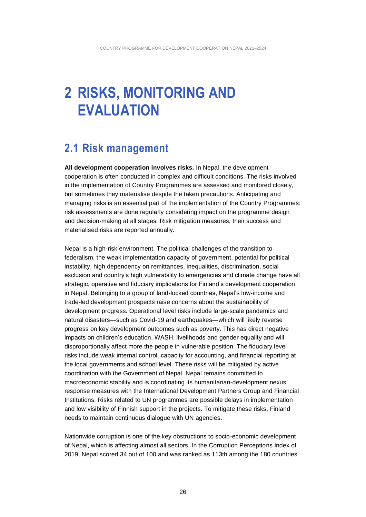## <span id="page-25-0"></span>**2 RISKS, MONITORING AND EVALUATION**

### <span id="page-25-1"></span>**2.1 Risk management**

**All development cooperation involves risks.** In Nepal, the development cooperation is often conducted in complex and difficult conditions. The risks involved in the implementation of Country Programmes are assessed and monitored closely, but sometimes they materialise despite the taken precautions. Anticipating and managing risks is an essential part of the implementation of the Country Programmes: risk assessments are done regularly considering impact on the programme design and decision-making at all stages. Risk mitigation measures, their success and materialised risks are reported annually.

Nepal is a high-risk environment. The political challenges of the transition to federalism, the weak implementation capacity of government, potential for political instability, high dependency on remittances, inequalities, discrimination, social exclusion and country's high vulnerability to emergencies and climate change have all strategic, operative and fiduciary implications for Finland's development cooperation in Nepal. Belonging to a group of land-locked countries, Nepal's low-income and trade-led development prospects raise concerns about the sustainability of development progress. Operational level risks include large-scale pandemics and natural disasters—such as Covid-19 and earthquakes—which will likely reverse progress on key development outcomes such as poverty. This has direct negative impacts on children's education, WASH, livelihoods and gender equality and will disproportionally affect more the people in vulnerable position. The fiduciary level risks include weak internal control, capacity for accounting, and financial reporting at the local governments and school level. These risks will be mitigated by active coordination with the Government of Nepal. Nepal remains committed to macroeconomic stability and is coordinating its humanitarian-development nexus response measures with the International Development Partners Group and Financial Institutions. Risks related to UN programmes are possible delays in implementation and low visibility of Finnish support in the projects. To mitigate these risks, Finland needs to maintain continuous dialogue with UN agencies.

Nationwide corruption is one of the key obstructions to socio-economic development of Nepal, which is affecting almost all sectors. In the Corruption Perceptions Index of 2019, Nepal scored 34 out of 100 and was ranked as 113th among the 180 countries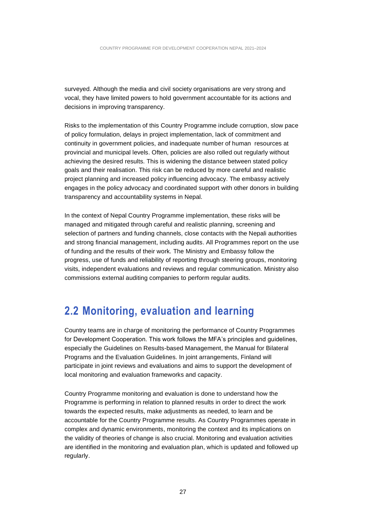surveyed. Although the media and civil society organisations are very strong and vocal, they have limited powers to hold government accountable for its actions and decisions in improving transparency.

Risks to the implementation of this Country Programme include corruption, slow pace of policy formulation, delays in project implementation, lack of commitment and continuity in government policies, and inadequate number of human resources at provincial and municipal levels. Often, policies are also rolled out regularly without achieving the desired results. This is widening the distance between stated policy goals and their realisation. This risk can be reduced by more careful and realistic project planning and increased policy influencing advocacy. The embassy actively engages in the policy advocacy and coordinated support with other donors in building transparency and accountability systems in Nepal.

In the context of Nepal Country Programme implementation, these risks will be managed and mitigated through careful and realistic planning, screening and selection of partners and funding channels, close contacts with the Nepali authorities and strong financial management, including audits. All Programmes report on the use of funding and the results of their work. The Ministry and Embassy follow the progress, use of funds and reliability of reporting through steering groups, monitoring visits, independent evaluations and reviews and regular communication. Ministry also commissions external auditing companies to perform regular audits.

### <span id="page-26-0"></span>**2.2 Monitoring, evaluation and learning**

Country teams are in charge of monitoring the performance of Country Programmes for Development Cooperation. This work follows the MFA's principles and guidelines, especially the Guidelines on Results-based Management, the Manual for Bilateral Programs and the Evaluation Guidelines. In joint arrangements, Finland will participate in joint reviews and evaluations and aims to support the development of local monitoring and evaluation frameworks and capacity.

Country Programme monitoring and evaluation is done to understand how the Programme is performing in relation to planned results in order to direct the work towards the expected results, make adjustments as needed, to learn and be accountable for the Country Programme results. As Country Programmes operate in complex and dynamic environments, monitoring the context and its implications on the validity of theories of change is also crucial. Monitoring and evaluation activities are identified in the monitoring and evaluation plan, which is updated and followed up regularly.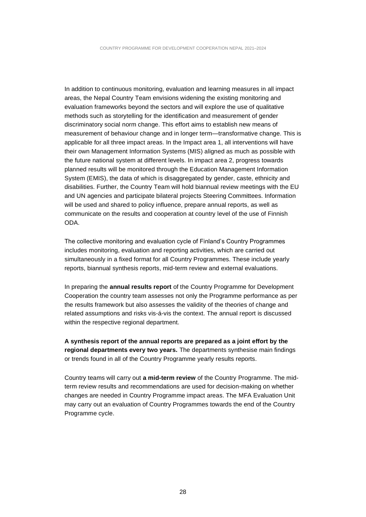In addition to continuous monitoring, evaluation and learning measures in all impact areas, the Nepal Country Team envisions widening the existing monitoring and evaluation frameworks beyond the sectors and will explore the use of qualitative methods such as storytelling for the identification and measurement of gender discriminatory social norm change. This effort aims to establish new means of measurement of behaviour change and in longer term—transformative change. This is applicable for all three impact areas. In the Impact area 1, all interventions will have their own Management Information Systems (MIS) aligned as much as possible with the future national system at different levels. In impact area 2, progress towards planned results will be monitored through the Education Management Information System (EMIS), the data of which is disaggregated by gender, caste, ethnicity and disabilities. Further, the Country Team will hold biannual review meetings with the EU and UN agencies and participate bilateral projects Steering Committees. Information will be used and shared to policy influence, prepare annual reports, as well as communicate on the results and cooperation at country level of the use of Finnish ODA.

The collective monitoring and evaluation cycle of Finland's Country Programmes includes monitoring, evaluation and reporting activities, which are carried out simultaneously in a fixed format for all Country Programmes. These include yearly reports, biannual synthesis reports, mid-term review and external evaluations.

In preparing the **annual results report** of the Country Programme for Development Cooperation the country team assesses not only the Programme performance as per the results framework but also assesses the validity of the theories of change and related assumptions and risks vis-á-vis the context. The annual report is discussed within the respective regional department.

**A synthesis report of the annual reports are prepared as a joint effort by the regional departments every two years.** The departments synthesise main findings or trends found in all of the Country Programme yearly results reports.

Country teams will carry out **a mid-term review** of the Country Programme. The midterm review results and recommendations are used for decision-making on whether changes are needed in Country Programme impact areas. The MFA Evaluation Unit may carry out an evaluation of Country Programmes towards the end of the Country Programme cycle.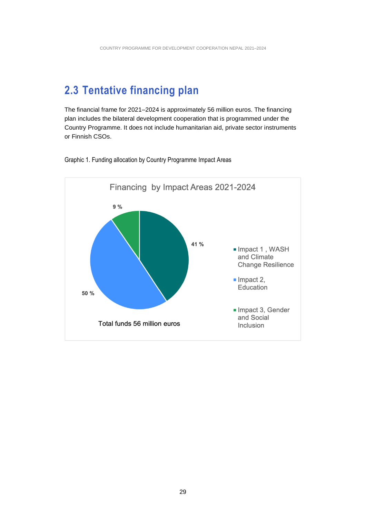### <span id="page-28-0"></span>**2.3 Tentative financing plan**

The financial frame for 2021–2024 is approximately 56 million euros. The financing plan includes the bilateral development cooperation that is programmed under the Country Programme. It does not include humanitarian aid, private sector instruments or Finnish CSOs.



Graphic 1. Funding allocation by Country Programme Impact Areas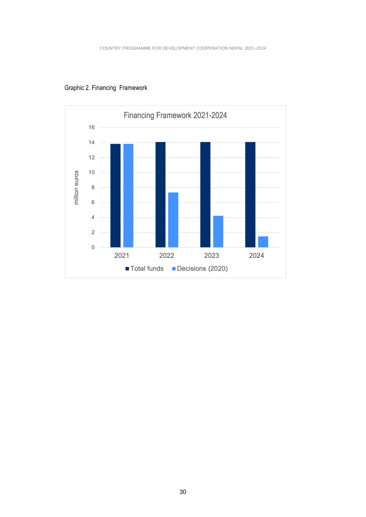

Graphic 2. Financing Framework